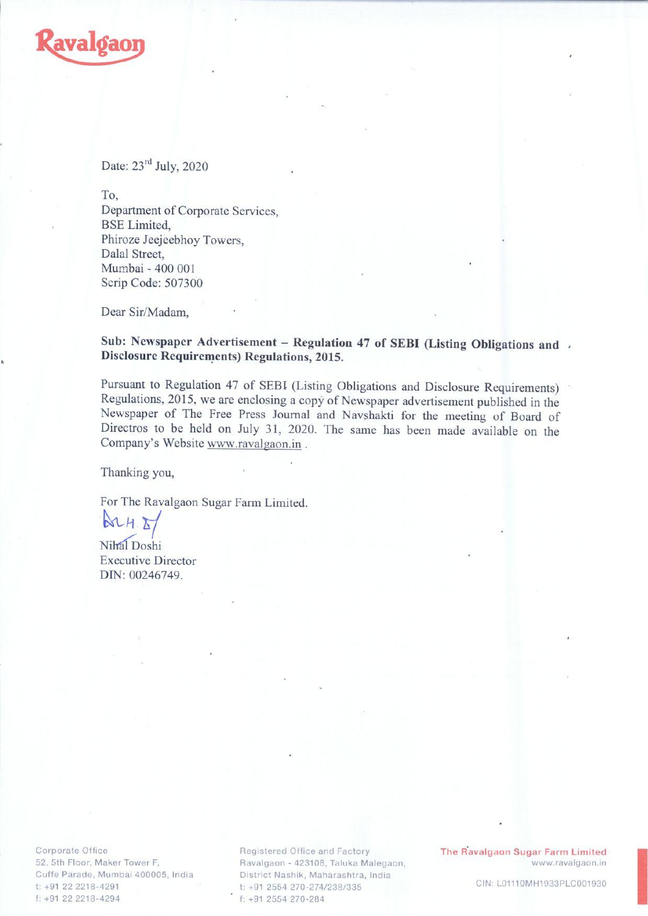

## Date:  $23<sup>rd</sup>$  July, 2020

To

Department of Corporate Services, BSE Limited, Phiroze Jeejeebhoy Towers, Dalal Street, Mumbai - 400 001 Scrip Code: 507300

Dear Sir/Madam,

## Sub: Newspaper Advertisement – Regulation 47 of SEBI (Listing Obligations and . Disclosure Requirements) Regulations, 2015.

Pursuant to Regulation 47 of SEBI (Listing Obligations and Disclosure Requirements)<br>Regulations, 2015, we are enclosing a copy of Newspaper advertisement published in the<br>Newspaper of The Free Press Journal and Navshakti f

Thanking you,

For The Ravalgaon Sugar Farm Limited.

 $M$ For The Ray<br> $A \times A$ <br>Nihal Doshi

Executive Director DIN: 00246749.

Corporate Office 52, 5th Floor, Maker Tower F, Cuffe Parade, Mumbai 400005, India t: +91 22 2218-4291 f: +91 22 2218-4294

Registered Office and Factory Ravalgaon - 423108, Taluka Malegaon, District Nashik, Maharashtra, India t: +91 2554 270-274/238/335 f: +91 2554 270-284

The Ravalgaon Sugar Farm Limited www.ravalgaon.in

CIN: LO1110MH1933PLC001930